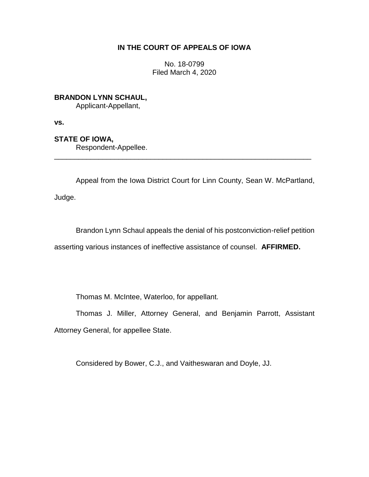# **IN THE COURT OF APPEALS OF IOWA**

No. 18-0799 Filed March 4, 2020

**BRANDON LYNN SCHAUL,**

Applicant-Appellant,

**vs.**

**STATE OF IOWA,**

Respondent-Appellee.

Appeal from the Iowa District Court for Linn County, Sean W. McPartland,

\_\_\_\_\_\_\_\_\_\_\_\_\_\_\_\_\_\_\_\_\_\_\_\_\_\_\_\_\_\_\_\_\_\_\_\_\_\_\_\_\_\_\_\_\_\_\_\_\_\_\_\_\_\_\_\_\_\_\_\_\_\_\_\_

Judge.

Brandon Lynn Schaul appeals the denial of his postconviction-relief petition asserting various instances of ineffective assistance of counsel. **AFFIRMED.**

Thomas M. McIntee, Waterloo, for appellant.

Thomas J. Miller, Attorney General, and Benjamin Parrott, Assistant Attorney General, for appellee State.

Considered by Bower, C.J., and Vaitheswaran and Doyle, JJ.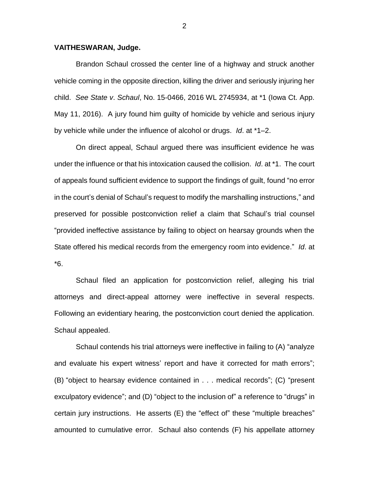## **VAITHESWARAN, Judge.**

Brandon Schaul crossed the center line of a highway and struck another vehicle coming in the opposite direction, killing the driver and seriously injuring her child. *See State v*. *Schaul*, No. 15-0466, 2016 WL 2745934, at \*1 (Iowa Ct. App. May 11, 2016). A jury found him guilty of homicide by vehicle and serious injury by vehicle while under the influence of alcohol or drugs. *Id*. at \*1–2.

On direct appeal, Schaul argued there was insufficient evidence he was under the influence or that his intoxication caused the collision. *Id*. at \*1. The court of appeals found sufficient evidence to support the findings of guilt, found "no error in the court's denial of Schaul's request to modify the marshalling instructions," and preserved for possible postconviction relief a claim that Schaul's trial counsel "provided ineffective assistance by failing to object on hearsay grounds when the State offered his medical records from the emergency room into evidence." *Id*. at \*6.

Schaul filed an application for postconviction relief, alleging his trial attorneys and direct-appeal attorney were ineffective in several respects. Following an evidentiary hearing, the postconviction court denied the application. Schaul appealed.

Schaul contends his trial attorneys were ineffective in failing to (A) "analyze and evaluate his expert witness' report and have it corrected for math errors"; (B) "object to hearsay evidence contained in . . . medical records"; (C) "present exculpatory evidence"; and (D) "object to the inclusion of" a reference to "drugs" in certain jury instructions. He asserts (E) the "effect of" these "multiple breaches" amounted to cumulative error. Schaul also contends (F) his appellate attorney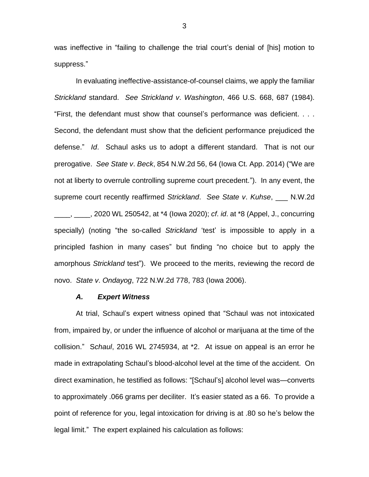was ineffective in "failing to challenge the trial court's denial of [his] motion to suppress."

In evaluating ineffective-assistance-of-counsel claims, we apply the familiar *Strickland* standard. *See Strickland v*. *Washington*, 466 U.S. 668, 687 (1984). "First, the defendant must show that counsel's performance was deficient. . . . Second, the defendant must show that the deficient performance prejudiced the defense." *Id*. Schaul asks us to adopt a different standard. That is not our prerogative. *See State v*. *Beck*, 854 N.W.2d 56, 64 (Iowa Ct. App. 2014) ("We are not at liberty to overrule controlling supreme court precedent."). In any event, the supreme court recently reaffirmed *Strickland*. *See State v*. *Kuhse*, \_\_\_ N.W.2d \_\_\_\_, \_\_\_\_, 2020 WL 250542, at \*4 (Iowa 2020); *cf*. *id*. at \*8 (Appel, J., concurring specially) (noting "the so-called *Strickland* 'test' is impossible to apply in a principled fashion in many cases" but finding "no choice but to apply the amorphous *Strickland* test"). We proceed to the merits, reviewing the record de novo. *State v*. *Ondayog*, 722 N.W.2d 778, 783 (Iowa 2006).

### *A. Expert Witness*

At trial, Schaul's expert witness opined that "Schaul was not intoxicated from, impaired by, or under the influence of alcohol or marijuana at the time of the collision." S*chaul*, 2016 WL 2745934, at \*2. At issue on appeal is an error he made in extrapolating Schaul's blood-alcohol level at the time of the accident. On direct examination, he testified as follows: "[Schaul's] alcohol level was—converts to approximately .066 grams per deciliter. It's easier stated as a 66. To provide a point of reference for you, legal intoxication for driving is at .80 so he's below the legal limit." The expert explained his calculation as follows: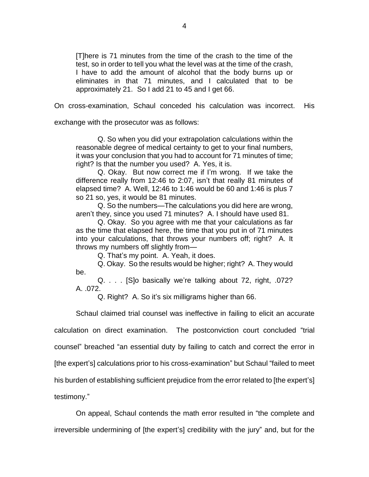[T]here is 71 minutes from the time of the crash to the time of the test, so in order to tell you what the level was at the time of the crash, I have to add the amount of alcohol that the body burns up or eliminates in that 71 minutes, and I calculated that to be approximately 21. So I add 21 to 45 and I get 66.

On cross-examination, Schaul conceded his calculation was incorrect. His

exchange with the prosecutor was as follows:

Q. So when you did your extrapolation calculations within the reasonable degree of medical certainty to get to your final numbers, it was your conclusion that you had to account for 71 minutes of time; right? Is that the number you used? A. Yes, it is.

Q. Okay. But now correct me if I'm wrong. If we take the difference really from 12:46 to 2:07, isn't that really 81 minutes of elapsed time? A. Well, 12:46 to 1:46 would be 60 and 1:46 is plus 7 so 21 so, yes, it would be 81 minutes.

Q. So the numbers—The calculations you did here are wrong, aren't they, since you used 71 minutes? A. I should have used 81.

Q. Okay. So you agree with me that your calculations as far as the time that elapsed here, the time that you put in of 71 minutes into your calculations, that throws your numbers off; right? A. It throws my numbers off slightly from—

Q. That's my point. A. Yeah, it does.

Q. Okay. So the results would be higher; right? A. They would be.

Q. . . . [S]o basically we're talking about 72, right, .072? A. .072.

Q. Right? A. So it's six milligrams higher than 66.

Schaul claimed trial counsel was ineffective in failing to elicit an accurate calculation on direct examination. The postconviction court concluded "trial counsel" breached "an essential duty by failing to catch and correct the error in [the expert's] calculations prior to his cross-examination" but Schaul "failed to meet his burden of establishing sufficient prejudice from the error related to [the expert's] testimony."

On appeal, Schaul contends the math error resulted in "the complete and irreversible undermining of [the expert's] credibility with the jury" and, but for the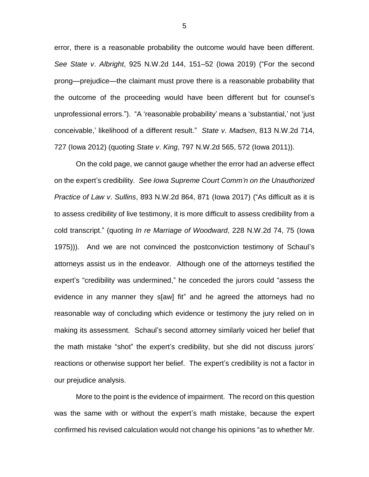error, there is a reasonable probability the outcome would have been different. *See State v*. *Albright*, 925 N.W.2d 144, 151–52 (Iowa 2019) ("For the second prong—prejudice—the claimant must prove there is a reasonable probability that the outcome of the proceeding would have been different but for counsel's unprofessional errors."). "A 'reasonable probability' means a 'substantial,' not 'just conceivable,' likelihood of a different result." *State v*. *Madsen*, 813 N.W.2d 714, 727 (Iowa 2012) (quoting *State v*. *King*, 797 N.W.2d 565, 572 (Iowa 2011)).

On the cold page, we cannot gauge whether the error had an adverse effect on the expert's credibility. *See Iowa Supreme Court Comm'n on the Unauthorized Practice of Law v*. *Sullins*, 893 N.W.2d 864, 871 (Iowa 2017) ("As difficult as it is to assess credibility of live testimony, it is more difficult to assess credibility from a cold transcript." (quoting *In re Marriage of Woodward*, 228 N.W.2d 74, 75 (Iowa 1975))). And we are not convinced the postconviction testimony of Schaul's attorneys assist us in the endeavor. Although one of the attorneys testified the expert's "credibility was undermined," he conceded the jurors could "assess the evidence in any manner they s[aw] fit" and he agreed the attorneys had no reasonable way of concluding which evidence or testimony the jury relied on in making its assessment. Schaul's second attorney similarly voiced her belief that the math mistake "shot" the expert's credibility, but she did not discuss jurors' reactions or otherwise support her belief. The expert's credibility is not a factor in our prejudice analysis.

More to the point is the evidence of impairment. The record on this question was the same with or without the expert's math mistake, because the expert confirmed his revised calculation would not change his opinions "as to whether Mr.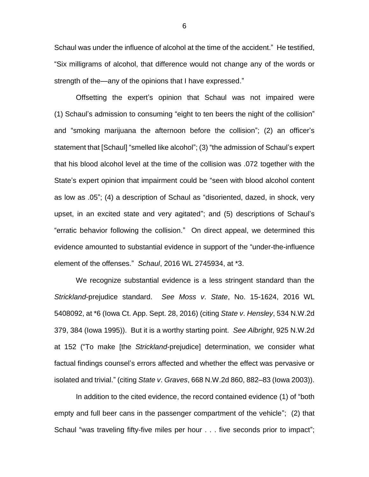Schaul was under the influence of alcohol at the time of the accident." He testified, "Six milligrams of alcohol, that difference would not change any of the words or strength of the—any of the opinions that I have expressed."

Offsetting the expert's opinion that Schaul was not impaired were (1) Schaul's admission to consuming "eight to ten beers the night of the collision" and "smoking marijuana the afternoon before the collision"; (2) an officer's statement that [Schaul] "smelled like alcohol"; (3) "the admission of Schaul's expert that his blood alcohol level at the time of the collision was .072 together with the State's expert opinion that impairment could be "seen with blood alcohol content as low as .05"; (4) a description of Schaul as "disoriented, dazed, in shock, very upset, in an excited state and very agitated"; and (5) descriptions of Schaul's "erratic behavior following the collision." On direct appeal, we determined this evidence amounted to substantial evidence in support of the "under-the-influence element of the offenses." *Schaul*, 2016 WL 2745934, at \*3.

We recognize substantial evidence is a less stringent standard than the *Strickland*-prejudice standard. *See Moss v*. *State*, No. 15-1624, 2016 WL 5408092, at \*6 (Iowa Ct. App. Sept. 28, 2016) (citing *State v*. *Hensley*, 534 N.W.2d 379, 384 (Iowa 1995)). But it is a worthy starting point. *See Albright*, 925 N.W.2d at 152 ("To make [the *Strickland*-prejudice] determination, we consider what factual findings counsel's errors affected and whether the effect was pervasive or isolated and trivial." (citing *State v*. *Graves*, 668 N.W.2d 860, 882–83 (Iowa 2003)).

In addition to the cited evidence, the record contained evidence (1) of "both empty and full beer cans in the passenger compartment of the vehicle"; (2) that Schaul "was traveling fifty-five miles per hour . . . five seconds prior to impact";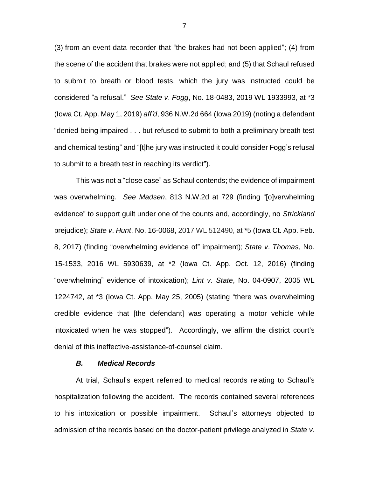(3) from an event data recorder that "the brakes had not been applied"; (4) from the scene of the accident that brakes were not applied; and (5) that Schaul refused to submit to breath or blood tests, which the jury was instructed could be considered "a refusal." *See State v*. *Fogg*, No. 18-0483, 2019 WL 1933993, at \*3 (Iowa Ct. App. May 1, 2019) *aff'd*, 936 N.W.2d 664 (Iowa 2019) (noting a defendant "denied being impaired . . . but refused to submit to both a preliminary breath test and chemical testing" and "[t]he jury was instructed it could consider Fogg's refusal to submit to a breath test in reaching its verdict").

This was not a "close case" as Schaul contends; the evidence of impairment was overwhelming. *See Madsen*, 813 N.W.2d at 729 (finding "[o]verwhelming evidence" to support guilt under one of the counts and, accordingly, no *Strickland*  prejudice); *State v*. *Hunt*, No. 16-0068, 2017 WL 512490, at **\***5 (Iowa Ct. App. Feb. 8, 2017) (finding "overwhelming evidence of" impairment); *State v*. *Thomas*, No. 15-1533, 2016 WL 5930639, at \*2 (Iowa Ct. App. Oct. 12, 2016) (finding "overwhelming" evidence of intoxication); *Lint v*. *State*, No. 04-0907, 2005 WL 1224742, at \*3 (Iowa Ct. App. May 25, 2005) (stating "there was overwhelming credible evidence that [the defendant] was operating a motor vehicle while intoxicated when he was stopped"). Accordingly, we affirm the district court's denial of this ineffective-assistance-of-counsel claim.

### *B. Medical Records*

At trial, Schaul's expert referred to medical records relating to Schaul's hospitalization following the accident. The records contained several references to his intoxication or possible impairment. Schaul's attorneys objected to admission of the records based on the doctor-patient privilege analyzed in *State v*.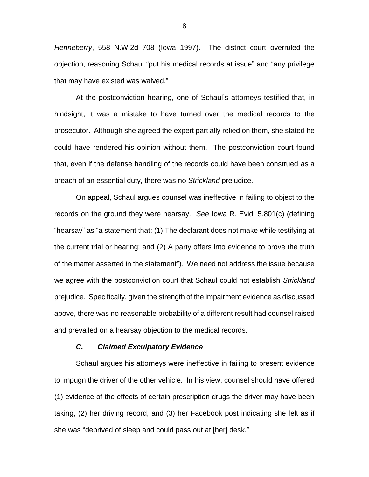*Henneberry*, 558 N.W.2d 708 (Iowa 1997). The district court overruled the objection, reasoning Schaul "put his medical records at issue" and "any privilege that may have existed was waived."

At the postconviction hearing, one of Schaul's attorneys testified that, in hindsight, it was a mistake to have turned over the medical records to the prosecutor. Although she agreed the expert partially relied on them, she stated he could have rendered his opinion without them. The postconviction court found that, even if the defense handling of the records could have been construed as a breach of an essential duty, there was no *Strickland* prejudice.

On appeal, Schaul argues counsel was ineffective in failing to object to the records on the ground they were hearsay. *See* Iowa R. Evid. 5.801(c) (defining "hearsay" as "a statement that: (1) The declarant does not make while testifying at the current trial or hearing; and (2) A party offers into evidence to prove the truth of the matter asserted in the statement"). We need not address the issue because we agree with the postconviction court that Schaul could not establish *Strickland* prejudice. Specifically, given the strength of the impairment evidence as discussed above, there was no reasonable probability of a different result had counsel raised and prevailed on a hearsay objection to the medical records.

## *C. Claimed Exculpatory Evidence*

Schaul argues his attorneys were ineffective in failing to present evidence to impugn the driver of the other vehicle. In his view, counsel should have offered (1) evidence of the effects of certain prescription drugs the driver may have been taking, (2) her driving record, and (3) her Facebook post indicating she felt as if she was "deprived of sleep and could pass out at [her] desk."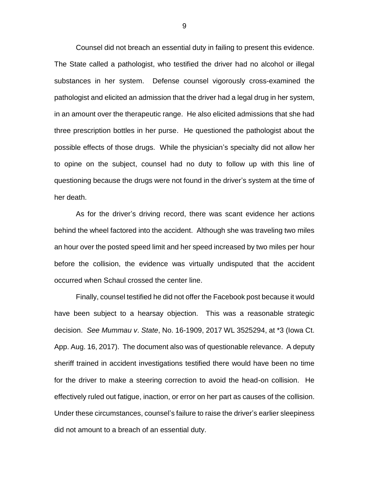Counsel did not breach an essential duty in failing to present this evidence. The State called a pathologist, who testified the driver had no alcohol or illegal substances in her system. Defense counsel vigorously cross-examined the pathologist and elicited an admission that the driver had a legal drug in her system, in an amount over the therapeutic range. He also elicited admissions that she had three prescription bottles in her purse. He questioned the pathologist about the possible effects of those drugs. While the physician's specialty did not allow her to opine on the subject, counsel had no duty to follow up with this line of questioning because the drugs were not found in the driver's system at the time of her death.

As for the driver's driving record, there was scant evidence her actions behind the wheel factored into the accident. Although she was traveling two miles an hour over the posted speed limit and her speed increased by two miles per hour before the collision, the evidence was virtually undisputed that the accident occurred when Schaul crossed the center line.

Finally, counsel testified he did not offer the Facebook post because it would have been subject to a hearsay objection. This was a reasonable strategic decision. *See Mummau v*. *State*, No. 16-1909, 2017 WL 3525294, at \*3 (Iowa Ct. App. Aug. 16, 2017). The document also was of questionable relevance. A deputy sheriff trained in accident investigations testified there would have been no time for the driver to make a steering correction to avoid the head-on collision. He effectively ruled out fatigue, inaction, or error on her part as causes of the collision. Under these circumstances, counsel's failure to raise the driver's earlier sleepiness did not amount to a breach of an essential duty.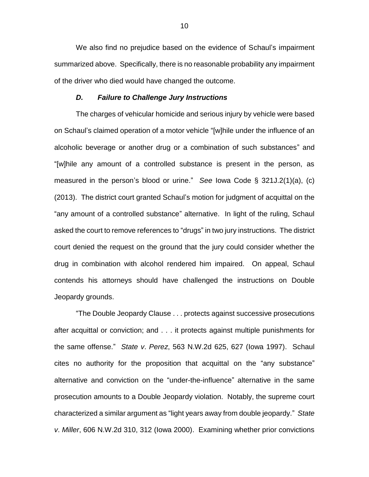We also find no prejudice based on the evidence of Schaul's impairment summarized above. Specifically, there is no reasonable probability any impairment of the driver who died would have changed the outcome.

#### *D. Failure to Challenge Jury Instructions*

The charges of vehicular homicide and serious injury by vehicle were based on Schaul's claimed operation of a motor vehicle "[w]hile under the influence of an alcoholic beverage or another drug or a combination of such substances" and "[w]hile any amount of a controlled substance is present in the person, as measured in the person's blood or urine." *See* Iowa Code § 321J.2(1)(a), (c) (2013). The district court granted Schaul's motion for judgment of acquittal on the "any amount of a controlled substance" alternative. In light of the ruling, Schaul asked the court to remove references to "drugs" in two jury instructions. The district court denied the request on the ground that the jury could consider whether the drug in combination with alcohol rendered him impaired. On appeal, Schaul contends his attorneys should have challenged the instructions on Double Jeopardy grounds.

"The Double Jeopardy Clause . . . protects against successive prosecutions after acquittal or conviction; and . . . it protects against multiple punishments for the same offense." *State v*. *Perez*, 563 N.W.2d 625, 627 (Iowa 1997). Schaul cites no authority for the proposition that acquittal on the "any substance" alternative and conviction on the "under-the-influence" alternative in the same prosecution amounts to a Double Jeopardy violation. Notably, the supreme court characterized a similar argument as "light years away from double jeopardy." *State v*. *Miller*, 606 N.W.2d 310, 312 (Iowa 2000). Examining whether prior convictions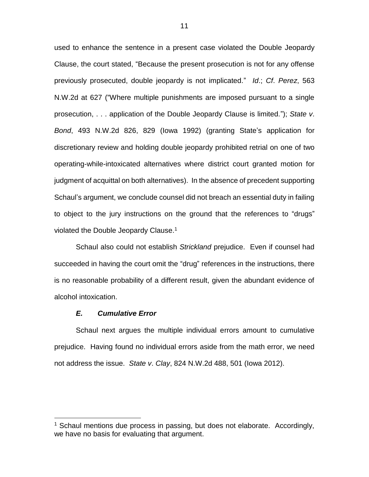used to enhance the sentence in a present case violated the Double Jeopardy Clause, the court stated, "Because the present prosecution is not for any offense previously prosecuted, double jeopardy is not implicated." *Id*.; *Cf*. *Perez*, 563 N.W.2d at 627 ("Where multiple punishments are imposed pursuant to a single prosecution, . . . application of the Double Jeopardy Clause is limited."); *State v*. *Bond*, 493 N.W.2d 826, 829 (Iowa 1992) (granting State's application for discretionary review and holding double jeopardy prohibited retrial on one of two operating-while-intoxicated alternatives where district court granted motion for judgment of acquittal on both alternatives). In the absence of precedent supporting Schaul's argument, we conclude counsel did not breach an essential duty in failing to object to the jury instructions on the ground that the references to "drugs" violated the Double Jeopardy Clause.<sup>1</sup>

Schaul also could not establish *Strickland* prejudice. Even if counsel had succeeded in having the court omit the "drug" references in the instructions, there is no reasonable probability of a different result, given the abundant evidence of alcohol intoxication.

#### *E. Cumulative Error*

 $\overline{a}$ 

Schaul next argues the multiple individual errors amount to cumulative prejudice. Having found no individual errors aside from the math error, we need not address the issue. *State v*. *Clay*, 824 N.W.2d 488, 501 (Iowa 2012).

<sup>&</sup>lt;sup>1</sup> Schaul mentions due process in passing, but does not elaborate. Accordingly, we have no basis for evaluating that argument.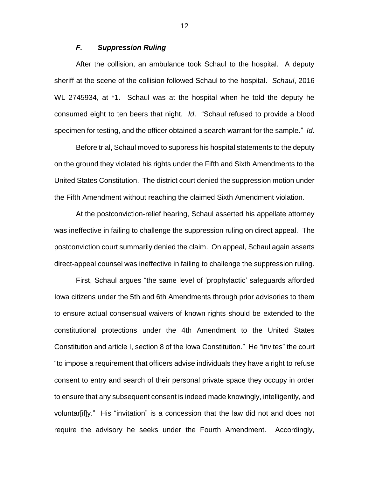# *F. Suppression Ruling*

After the collision, an ambulance took Schaul to the hospital. A deputy sheriff at the scene of the collision followed Schaul to the hospital. *Schaul*, 2016 WL 2745934, at \*1. Schaul was at the hospital when he told the deputy he consumed eight to ten beers that night. *Id*. "Schaul refused to provide a blood specimen for testing, and the officer obtained a search warrant for the sample." *Id*.

Before trial, Schaul moved to suppress his hospital statements to the deputy on the ground they violated his rights under the Fifth and Sixth Amendments to the United States Constitution. The district court denied the suppression motion under the Fifth Amendment without reaching the claimed Sixth Amendment violation.

At the postconviction-relief hearing, Schaul asserted his appellate attorney was ineffective in failing to challenge the suppression ruling on direct appeal. The postconviction court summarily denied the claim. On appeal, Schaul again asserts direct-appeal counsel was ineffective in failing to challenge the suppression ruling.

First, Schaul argues "the same level of 'prophylactic' safeguards afforded Iowa citizens under the 5th and 6th Amendments through prior advisories to them to ensure actual consensual waivers of known rights should be extended to the constitutional protections under the 4th Amendment to the United States Constitution and article I, section 8 of the Iowa Constitution." He "invites" the court "to impose a requirement that officers advise individuals they have a right to refuse consent to entry and search of their personal private space they occupy in order to ensure that any subsequent consent is indeed made knowingly, intelligently, and voluntar[il]y." His "invitation" is a concession that the law did not and does not require the advisory he seeks under the Fourth Amendment. Accordingly,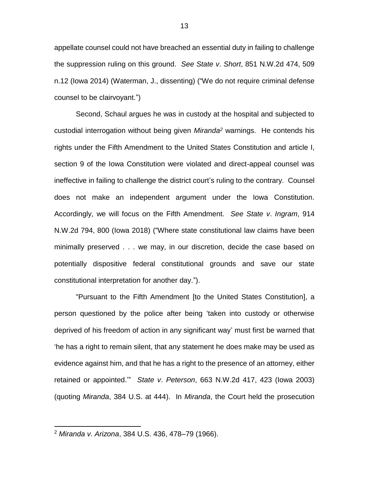appellate counsel could not have breached an essential duty in failing to challenge the suppression ruling on this ground. *See State v*. *Short*, 851 N.W.2d 474, 509 n.12 (Iowa 2014) (Waterman, J., dissenting) ("We do not require criminal defense counsel to be clairvoyant.")

Second, Schaul argues he was in custody at the hospital and subjected to custodial interrogation without being given *Miranda<sup>2</sup>* warnings. He contends his rights under the Fifth Amendment to the United States Constitution and article I, section 9 of the Iowa Constitution were violated and direct-appeal counsel was ineffective in failing to challenge the district court's ruling to the contrary. Counsel does not make an independent argument under the Iowa Constitution. Accordingly, we will focus on the Fifth Amendment. *See State v*. *Ingram*, 914 N.W.2d 794, 800 (Iowa 2018) ("Where state constitutional law claims have been minimally preserved . . . we may, in our discretion, decide the case based on potentially dispositive federal constitutional grounds and save our state constitutional interpretation for another day.").

"Pursuant to the Fifth Amendment [to the United States Constitution], a person questioned by the police after being 'taken into custody or otherwise deprived of his freedom of action in any significant way' must first be warned that 'he has a right to remain silent, that any statement he does make may be used as evidence against him, and that he has a right to the presence of an attorney, either retained or appointed.'" *State v*. *Peterson*, 663 N.W.2d 417, 423 (Iowa 2003) (quoting *Miranda*, 384 U.S. at 444). In *Miranda*, the Court held the prosecution

 $\overline{a}$ 

<sup>2</sup> *Miranda v. Arizona*, 384 U.S. 436, 478–79 (1966).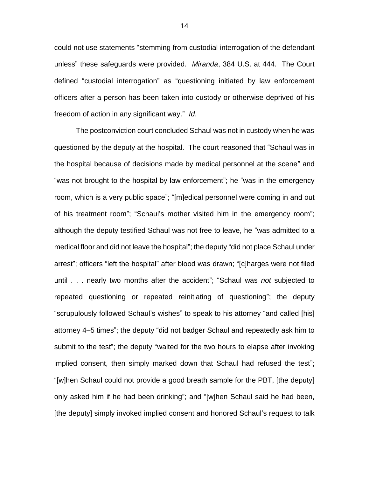could not use statements "stemming from custodial interrogation of the defendant unless" these safeguards were provided. *Miranda*, 384 U.S. at 444. The Court defined "custodial interrogation" as "questioning initiated by law enforcement officers after a person has been taken into custody or otherwise deprived of his freedom of action in any significant way." *Id*.

The postconviction court concluded Schaul was not in custody when he was questioned by the deputy at the hospital. The court reasoned that "Schaul was in the hospital because of decisions made by medical personnel at the scene" and "was not brought to the hospital by law enforcement"; he "was in the emergency room, which is a very public space"; "[m]edical personnel were coming in and out of his treatment room"; "Schaul's mother visited him in the emergency room"; although the deputy testified Schaul was not free to leave, he "was admitted to a medical floor and did not leave the hospital"; the deputy "did not place Schaul under arrest"; officers "left the hospital" after blood was drawn; "[c]harges were not filed until . . . nearly two months after the accident"; "Schaul was *not* subjected to repeated questioning or repeated reinitiating of questioning"; the deputy "scrupulously followed Schaul's wishes" to speak to his attorney "and called [his] attorney 4–5 times"; the deputy "did not badger Schaul and repeatedly ask him to submit to the test"; the deputy "waited for the two hours to elapse after invoking implied consent, then simply marked down that Schaul had refused the test"; "[w]hen Schaul could not provide a good breath sample for the PBT, [the deputy] only asked him if he had been drinking"; and "[w]hen Schaul said he had been, [the deputy] simply invoked implied consent and honored Schaul's request to talk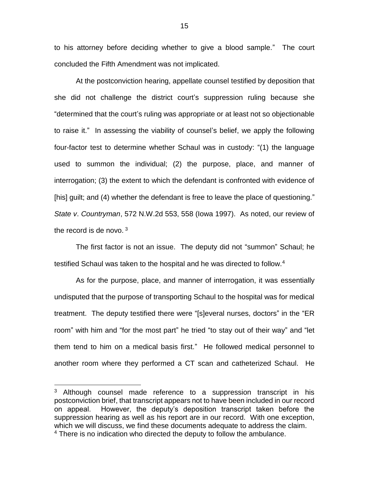to his attorney before deciding whether to give a blood sample." The court concluded the Fifth Amendment was not implicated.

At the postconviction hearing, appellate counsel testified by deposition that she did not challenge the district court's suppression ruling because she "determined that the court's ruling was appropriate or at least not so objectionable to raise it." In assessing the viability of counsel's belief, we apply the following four-factor test to determine whether Schaul was in custody: "(1) the language used to summon the individual; (2) the purpose, place, and manner of interrogation; (3) the extent to which the defendant is confronted with evidence of [his] guilt; and (4) whether the defendant is free to leave the place of questioning." *State v*. *Countryman*, 572 N.W.2d 553, 558 (Iowa 1997). As noted, our review of the record is de novo.  $3$ 

The first factor is not an issue. The deputy did not "summon" Schaul; he testified Schaul was taken to the hospital and he was directed to follow.<sup>4</sup>

As for the purpose, place, and manner of interrogation, it was essentially undisputed that the purpose of transporting Schaul to the hospital was for medical treatment. The deputy testified there were "[s]everal nurses, doctors" in the "ER room" with him and "for the most part" he tried "to stay out of their way" and "let them tend to him on a medical basis first." He followed medical personnel to another room where they performed a CT scan and catheterized Schaul. He

 $\overline{a}$ 

<sup>&</sup>lt;sup>3</sup> Although counsel made reference to a suppression transcript in his postconviction brief, that transcript appears not to have been included in our record on appeal. However, the deputy's deposition transcript taken before the suppression hearing as well as his report are in our record. With one exception, which we will discuss, we find these documents adequate to address the claim. <sup>4</sup> There is no indication who directed the deputy to follow the ambulance.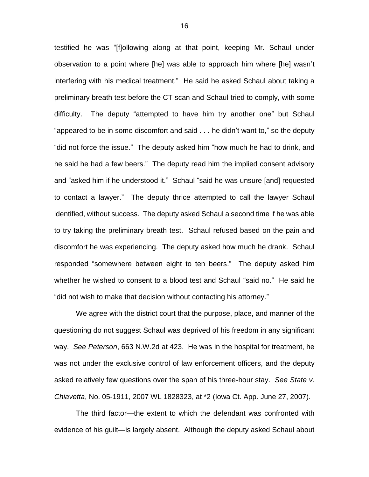testified he was "[f]ollowing along at that point, keeping Mr. Schaul under observation to a point where [he] was able to approach him where [he] wasn't interfering with his medical treatment." He said he asked Schaul about taking a preliminary breath test before the CT scan and Schaul tried to comply, with some difficulty. The deputy "attempted to have him try another one" but Schaul "appeared to be in some discomfort and said . . . he didn't want to," so the deputy "did not force the issue." The deputy asked him "how much he had to drink, and he said he had a few beers." The deputy read him the implied consent advisory and "asked him if he understood it." Schaul "said he was unsure [and] requested to contact a lawyer." The deputy thrice attempted to call the lawyer Schaul identified, without success. The deputy asked Schaul a second time if he was able to try taking the preliminary breath test. Schaul refused based on the pain and discomfort he was experiencing. The deputy asked how much he drank. Schaul responded "somewhere between eight to ten beers." The deputy asked him whether he wished to consent to a blood test and Schaul "said no." He said he "did not wish to make that decision without contacting his attorney."

We agree with the district court that the purpose, place, and manner of the questioning do not suggest Schaul was deprived of his freedom in any significant way. *See Peterson*, 663 N.W.2d at 423. He was in the hospital for treatment, he was not under the exclusive control of law enforcement officers, and the deputy asked relatively few questions over the span of his three-hour stay. *See State v*. *Chiavetta*, No. 05-1911, 2007 WL 1828323, at \*2 (Iowa Ct. App. June 27, 2007).

The third factor—the extent to which the defendant was confronted with evidence of his guilt—is largely absent. Although the deputy asked Schaul about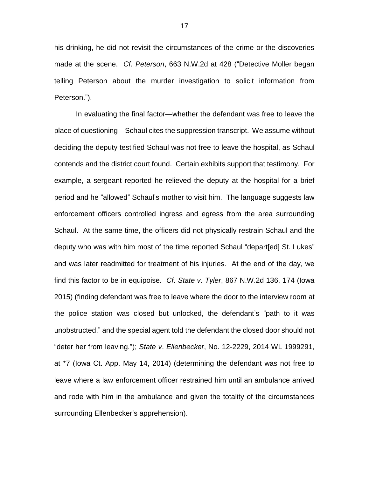his drinking, he did not revisit the circumstances of the crime or the discoveries made at the scene. *Cf*. *Peterson*, 663 N.W.2d at 428 ("Detective Moller began telling Peterson about the murder investigation to solicit information from Peterson.").

In evaluating the final factor—whether the defendant was free to leave the place of questioning—Schaul cites the suppression transcript. We assume without deciding the deputy testified Schaul was not free to leave the hospital, as Schaul contends and the district court found. Certain exhibits support that testimony. For example, a sergeant reported he relieved the deputy at the hospital for a brief period and he "allowed" Schaul's mother to visit him. The language suggests law enforcement officers controlled ingress and egress from the area surrounding Schaul. At the same time, the officers did not physically restrain Schaul and the deputy who was with him most of the time reported Schaul "depart[ed] St. Lukes" and was later readmitted for treatment of his injuries. At the end of the day, we find this factor to be in equipoise. *Cf*. *State v*. *Tyler*, 867 N.W.2d 136, 174 (Iowa 2015) (finding defendant was free to leave where the door to the interview room at the police station was closed but unlocked, the defendant's "path to it was unobstructed," and the special agent told the defendant the closed door should not "deter her from leaving."); *State v*. *Ellenbecker*, No. 12-2229, 2014 WL 1999291, at \*7 (Iowa Ct. App. May 14, 2014) (determining the defendant was not free to leave where a law enforcement officer restrained him until an ambulance arrived and rode with him in the ambulance and given the totality of the circumstances surrounding Ellenbecker's apprehension).